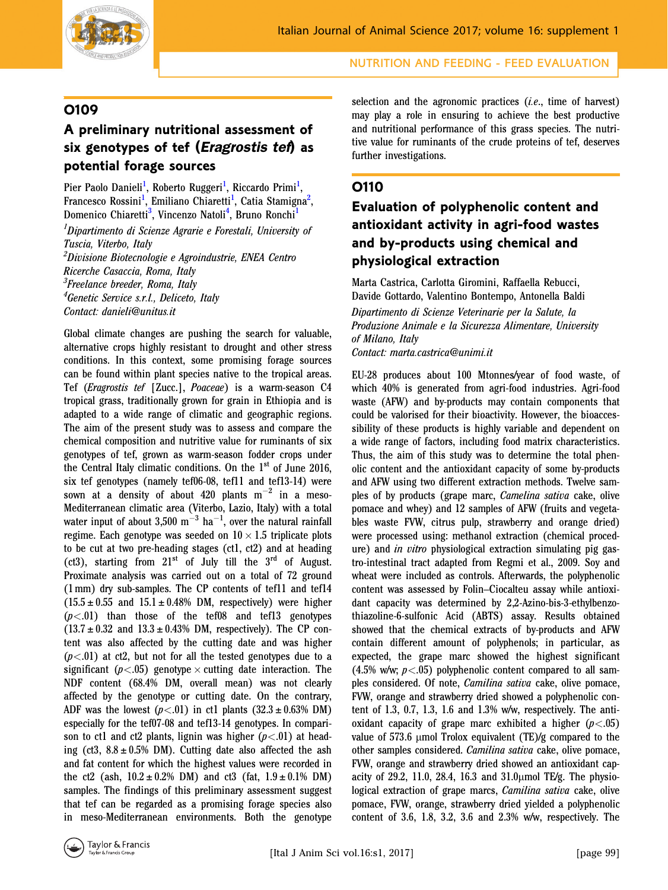

### O109

# A preliminary nutritional assessment of six genotypes of tef (*Eragrostis tef*) as potential forage sources

Pier Paolo Danieli<sup>1</sup>, Roberto Ruggeri<sup>1</sup>, Riccardo Primi<sup>1</sup>, Francesco Rossini<sup>1</sup>, Emiliano Chiaretti<sup>1</sup>, Catia Stamigna<sup>2</sup>, Domenico Chiaretti<sup>3</sup>, Vincenzo Natoli<sup>4</sup>, Bruno Ronchi<sup>1</sup>

<sup>1</sup>Dipartimento di Scienze Agrarie e Forestali, University of Tuscia, Viterbo, Italy <sup>2</sup>Divisione Biotecnologie e Agroindustrie, ENEA Centro Ricerche Casaccia, Roma, Italy

<sup>3</sup>Freelance breeder, Roma, Italy

<sup>4</sup>Genetic Service s.r.l., Deliceto, Italy

Contact: danieli@unitus.it

Global climate changes are pushing the search for valuable, alternative crops highly resistant to drought and other stress conditions. In this context, some promising forage sources can be found within plant species native to the tropical areas. Tef (Eragrostis tef [Zucc.], Poaceae) is a warm-season C4 tropical grass, traditionally grown for grain in Ethiopia and is adapted to a wide range of climatic and geographic regions. The aim of the present study was to assess and compare the chemical composition and nutritive value for ruminants of six genotypes of tef, grown as warm-season fodder crops under the Central Italy climatic conditions. On the 1<sup>st</sup> of June 2016, six tef genotypes (namely tef06-08, tef11 and tef13-14) were sown at a density of about 420 plants  $m^{-2}$  in a meso-Mediterranean climatic area (Viterbo, Lazio, Italy) with a total water input of about 3,500  $\mathrm{m}^{-3}$  ha $^{-1}$ , over the natural rainfall regime. Each genotype was seeded on  $10 \times 1.5$  triplicate plots to be cut at two pre-heading stages (ct1, ct2) and at heading (ct3), starting from  $21<sup>st</sup>$  of July till the  $3<sup>rd</sup>$  of August. Proximate analysis was carried out on a total of 72 ground (1 mm) dry sub-samples. The CP contents of tef11 and tef14  $(15.5 \pm 0.55$  and  $15.1 \pm 0.48\%$  DM, respectively) were higher  $(p<.01)$  than those of the tef08 and tef13 genotypes  $(13.7 \pm 0.32$  and  $13.3 \pm 0.43\%$  DM, respectively). The CP content was also affected by the cutting date and was higher  $(p<.01)$  at ct2, but not for all the tested genotypes due to a significant ( $p < .05$ ) genotype  $\times$  cutting date interaction. The NDF content (68.4% DM, overall mean) was not clearly affected by the genotype or cutting date. On the contrary, ADF was the lowest ( $p < .01$ ) in ct1 plants (32.3  $\pm$  0.63% DM) especially for the tef07-08 and tef13-14 genotypes. In comparison to ct1 and ct2 plants, lignin was higher  $(p<.01)$  at heading (ct3,  $8.8 \pm 0.5\%$  DM). Cutting date also affected the ash and fat content for which the highest values were recorded in the ct2 (ash,  $10.2 \pm 0.2\%$  DM) and ct3 (fat,  $1.9 \pm 0.1\%$  DM) samples. The findings of this preliminary assessment suggest that tef can be regarded as a promising forage species also in meso-Mediterranean environments. Both the genotype

selection and the agronomic practices *(i.e., time of harvest)* may play a role in ensuring to achieve the best productive and nutritional performance of this grass species. The nutritive value for ruminants of the crude proteins of tef, deserves further investigations.

### O110

## Evaluation of polyphenolic content and antioxidant activity in agri-food wastes and by-products using chemical and physiological extraction

Marta Castrica, Carlotta Giromini, Raffaella Rebucci, Davide Gottardo, Valentino Bontempo, Antonella Baldi Dipartimento di Scienze Veterinarie per la Salute, la Produzione Animale e la Sicurezza Alimentare, University of Milano, Italy Contact: marta.castrica@unimi.it

EU-28 produces about 100 Mtonnes/year of food waste, of which 40% is generated from agri-food industries. Agri-food waste (AFW) and by-products may contain components that could be valorised for their bioactivity. However, the bioaccessibility of these products is highly variable and dependent on a wide range of factors, including food matrix characteristics. Thus, the aim of this study was to determine the total phenolic content and the antioxidant capacity of some by-products and AFW using two different extraction methods. Twelve samples of by products (grape marc, Camelina sativa cake, olive pomace and whey) and 12 samples of AFW (fruits and vegetables waste FVW, citrus pulp, strawberry and orange dried) were processed using: methanol extraction (chemical procedure) and *in vitro* physiological extraction simulating pig gastro-intestinal tract adapted from Regmi et al., 2009. Soy and wheat were included as controls. Afterwards, the polyphenolic content was assessed by Folin–Ciocalteu assay while antioxidant capacity was determined by 2,2-Azino-bis-3-ethylbenzothiazoline-6-sulfonic Acid (ABTS) assay. Results obtained showed that the chemical extracts of by-products and AFW contain different amount of polyphenols; in particular, as expected, the grape marc showed the highest significant (4.5% w/w;  $p < .05$ ) polyphenolic content compared to all samples considered. Of note, Camilina sativa cake, olive pomace, FVW, orange and strawberry dried showed a polyphenolic content of 1.3, 0.7, 1.3, 1.6 and 1.3% w/w, respectively. The antioxidant capacity of grape marc exhibited a higher  $(p<.05)$ value of  $573.6 \mu$ mol Trolox equivalent (TE)/g compared to the other samples considered. Camilina sativa cake, olive pomace, FVW, orange and strawberry dried showed an antioxidant capacity of 29.2, 11.0, 28.4, 16.3 and  $31.0\mu$ mol TE/g. The physiological extraction of grape marcs, *Camilina sativa* cake, olive pomace, FVW, orange, strawberry dried yielded a polyphenolic content of 3.6, 1.8, 3.2, 3.6 and 2.3% w/w, respectively. The